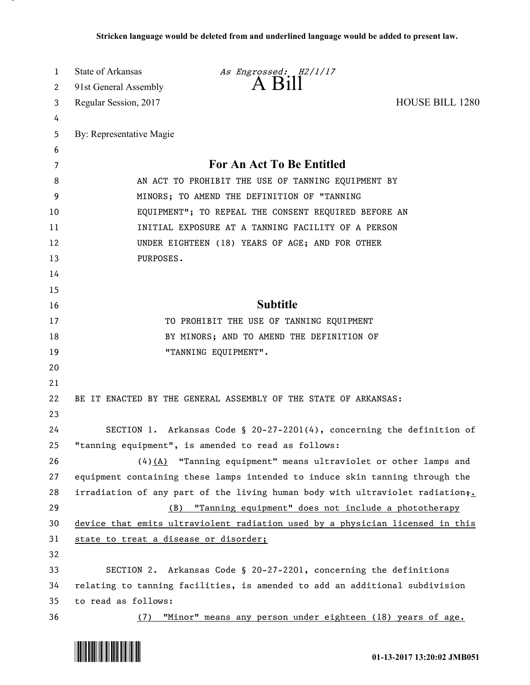| 1        | State of Arkansas                                                           | As Engrossed: H2/1/17                                                         |                        |
|----------|-----------------------------------------------------------------------------|-------------------------------------------------------------------------------|------------------------|
| 2        | 91st General Assembly                                                       | $A$ B <sub>1</sub> $\text{H}$                                                 |                        |
| 3        | Regular Session, 2017                                                       |                                                                               | <b>HOUSE BILL 1280</b> |
| 4        |                                                                             |                                                                               |                        |
| 5        | By: Representative Magie                                                    |                                                                               |                        |
| 6        |                                                                             |                                                                               |                        |
| 7        | For An Act To Be Entitled                                                   |                                                                               |                        |
| 8        | AN ACT TO PROHIBIT THE USE OF TANNING EQUIPMENT BY                          |                                                                               |                        |
| 9        | MINORS; TO AMEND THE DEFINITION OF "TANNING                                 |                                                                               |                        |
| 10       | EQUIPMENT"; TO REPEAL THE CONSENT REQUIRED BEFORE AN                        |                                                                               |                        |
| 11       | INITIAL EXPOSURE AT A TANNING FACILITY OF A PERSON                          |                                                                               |                        |
| 12       | UNDER EIGHTEEN (18) YEARS OF AGE; AND FOR OTHER                             |                                                                               |                        |
| 13       | PURPOSES.                                                                   |                                                                               |                        |
| 14       |                                                                             |                                                                               |                        |
| 15       |                                                                             |                                                                               |                        |
| 16       |                                                                             | <b>Subtitle</b>                                                               |                        |
| 17       |                                                                             | TO PROHIBIT THE USE OF TANNING EQUIPMENT                                      |                        |
| 18       |                                                                             | BY MINORS; AND TO AMEND THE DEFINITION OF                                     |                        |
| 19       |                                                                             | "TANNING EQUIPMENT".                                                          |                        |
| 20<br>21 |                                                                             |                                                                               |                        |
| 22       |                                                                             | BE IT ENACTED BY THE GENERAL ASSEMBLY OF THE STATE OF ARKANSAS:               |                        |
| 23       |                                                                             |                                                                               |                        |
| 24       |                                                                             | SECTION 1. Arkansas Code § 20-27-2201(4), concerning the definition of        |                        |
| 25       |                                                                             | "tanning equipment", is amended to read as follows:                           |                        |
| 26       |                                                                             | $(4)$ (A) "Tanning equipment" means ultraviolet or other lamps and            |                        |
| 27       |                                                                             | equipment containing these lamps intended to induce skin tanning through the  |                        |
| 28       |                                                                             | irradiation of any part of the living human body with ultraviolet radiation+. |                        |
| 29       | (B)                                                                         | "Tanning equipment" does not include a phototherapy                           |                        |
| 30       |                                                                             | device that emits ultraviolent radiation used by a physician licensed in this |                        |
| 31       | state to treat a disease or disorder;                                       |                                                                               |                        |
| 32       |                                                                             |                                                                               |                        |
| 33       |                                                                             | SECTION 2. Arkansas Code § 20-27-2201, concerning the definitions             |                        |
| 34       | relating to tanning facilities, is amended to add an additional subdivision |                                                                               |                        |
| 35       | to read as follows:                                                         |                                                                               |                        |
| 36       | (7)                                                                         | "Minor" means any person under eighteen (18) years of age.                    |                        |



.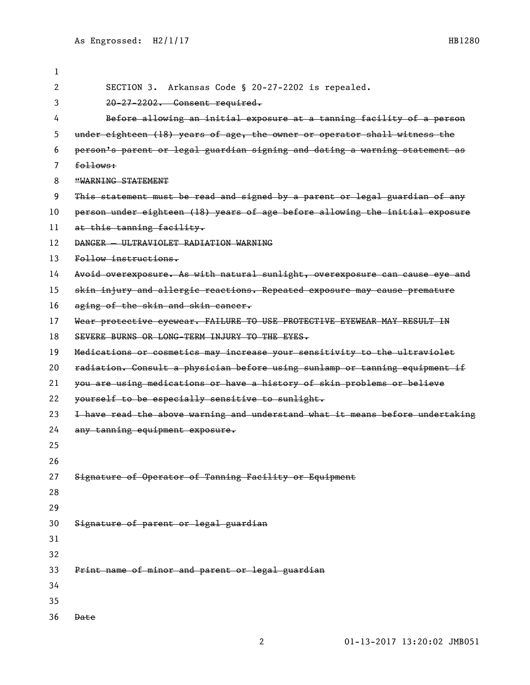SECTION 3. Arkansas Code § 20-27-2202 is repealed. 20-27-2202. Consent required. Before allowing an initial exposure at a tanning facility of a person under eighteen (18) years of age, the owner or operator shall witness the person's parent or legal guardian signing and dating a warning statement as follows: **"WARNING STATEMENT**  This statement must be read and signed by a parent or legal guardian of any person under eighteen (18) years of age before allowing the initial exposure at this tanning facility. DANGER — ULTRAVIOLET RADIATION WARNING Follow instructions. 14 Avoid overexposure. As with natural sunlight, overexposure can cause eye and skin injury and allergic reactions. Repeated exposure may cause premature 16 aging of the skin and skin cancer. 17 Wear protective eyewear. FAILURE TO USE PROTECTIVE EYEWEAR MAY RESULT IN SEVERE BURNS OR LONG-TERM INJURY TO THE EYES. Medications or cosmetics may increase your sensitivity to the ultraviolet radiation. Consult a physician before using sunlamp or tanning equipment if you are using medications or have a history of skin problems or believe 22 yourself to be especially sensitive to sunlight. 23 I have read the above warning and understand what it means before undertaking any tanning equipment exposure. Signature of Operator of Tanning Facility or Equipment Signature of parent or legal guardian Print name of minor and parent or legal guardian Date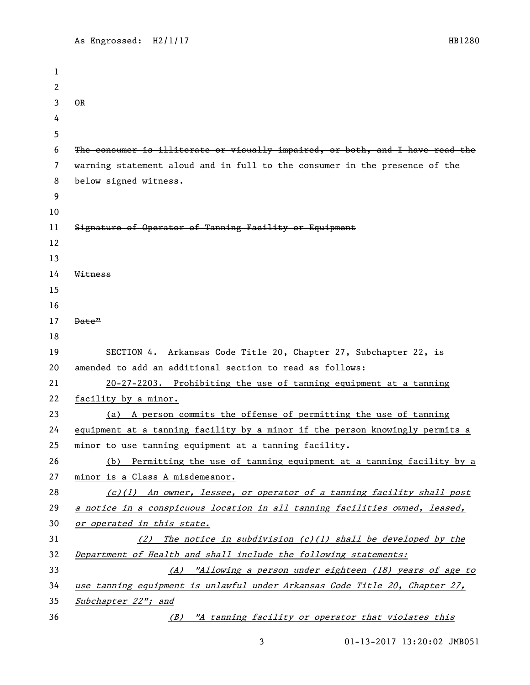```
1
 2
 3 OR
 4
5
 6 The consumer is illiterate or visually impaired, or both, and I have read the 
7 warning statement aloud and in full to the consumer in the presence of the 
8 below signed witness.
9
10
11 Signature of Operator of Tanning Facility or Equipment
12
13
14 Witness
15
16
17 Date"
18
19 SECTION 4. Arkansas Code Title 20, Chapter 27, Subchapter 22, is 
20 amended to add an additional section to read as follows:
21 20-27-2203. Prohibiting the use of tanning equipment at a tanning 
22 facility by a minor.
23 (a) A person commits the offense of permitting the use of tanning 
24 equipment at a tanning facility by a minor if the person knowingly permits a 
25 minor to use tanning equipment at a tanning facility.
26 (b) Permitting the use of tanning equipment at a tanning facility by a 
27 minor is a Class A misdemeanor.
28 (c)(1) An owner, lessee, or operator of a tanning facility shall post 
29 a notice in a conspicuous location in all tanning facilities owned, leased, 
30 or operated in this state.
31 (2) The notice in subdivision (c)(1) shall be developed by the 
32 Department of Health and shall include the following statements:
33 (A) "Allowing a person under eighteen (18) years of age to 
34 use tanning equipment is unlawful under Arkansas Code Title 20, Chapter 27, 
35 Subchapter 22"; and
36 (B) "A tanning facility or operator that violates this
```
01-13-2017 13:20:02 JMB051